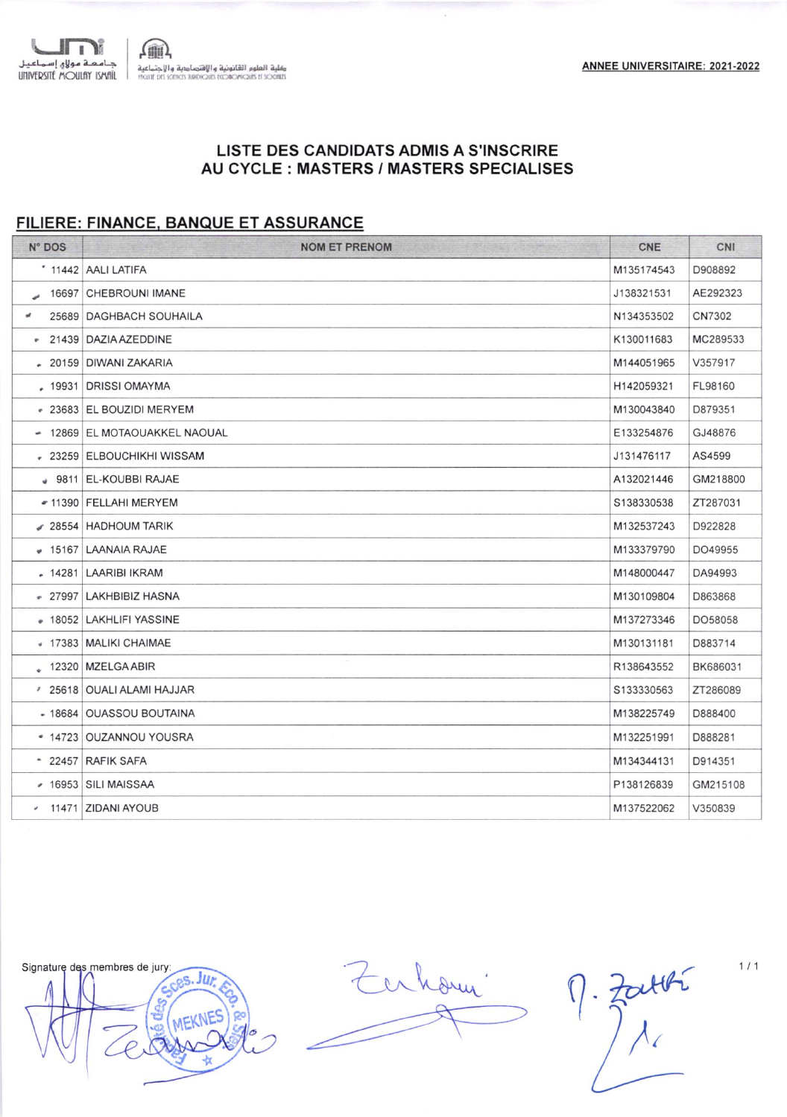

## LISTE DES CANDIDATS ADMIS A S'INSCRIRE AU CYCLE: MASTERS / MASTERS SPECIALISES

## FILIERE: FINANCE, BANQUE ET ASSURANCE

| N° DOS    | <b>NOM ET PRENOM</b>          | <b>CNE</b> | CNI      |
|-----------|-------------------------------|------------|----------|
|           | * 11442 AALI LATIFA           | M135174543 | D908892  |
| 16697     | <b>CHEBROUNI IMANE</b>        | J138321531 | AE292323 |
| ø.        | 25689 DAGHBACH SOUHAILA       | N134353502 | CN7302   |
|           | * 21439 DAZIA AZEDDINE        | K130011683 | MC289533 |
|           | 20159 DIWANI ZAKARIA          | M144051965 | V357917  |
|           | . 19931   DRISSI OMAYMA       | H142059321 | FL98160  |
|           | - 23683 EL BOUZIDI MERYEM     | M130043840 | D879351  |
|           | - 12869 EL MOTAOUAKKEL NAOUAL | E133254876 | GJ48876  |
|           | # 23259 ELBOUCHIKHI WISSAM    | J131476117 | AS4599   |
|           | 9811 EL-KOUBBI RAJAE          | A132021446 | GM218800 |
|           | ● 11390 FELLAHI MERYEM        | S138330538 | ZT287031 |
|           | 28554 HADHOUM TARIK           | M132537243 | D922828  |
| $+ 15167$ | <b>LAANAIA RAJAE</b>          | M133379790 | DO49955  |
|           | - 14281 LAARIBI IKRAM         | M148000447 | DA94993  |
| $-27997$  | LAKHBIBIZ HASNA               | M130109804 | D863868  |
|           | # 18052   LAKHLIFI YASSINE    | M137273346 | DO58058  |
|           | ● 17383   MALIKI CHAIMAE      | M130131181 | D883714  |
|           | $\sim$<br>12320   MZELGA ABIR | R138643552 | BK686031 |
|           | 25618 OUALI ALAMI HAJJAR      | S133330563 | ZT286089 |
|           | - 18684   OUASSOU BOUTAINA    | M138225749 | D888400  |
| $-14723$  | <b>OUZANNOU YOUSRA</b>        | M132251991 | D888281  |
|           | $\degree$ 22457 RAFIK SAFA    | M134344131 | D914351  |
|           | $\cdot$ 16953 SILI MAISSAA    | P138126839 | GM215108 |
|           | v 11471 ZIDANI AYOUB          | M137522062 | V350839  |



Enhami

 $\eta=\frac{1}{2}\pi i\pi^{2}$ 

 $1/1$